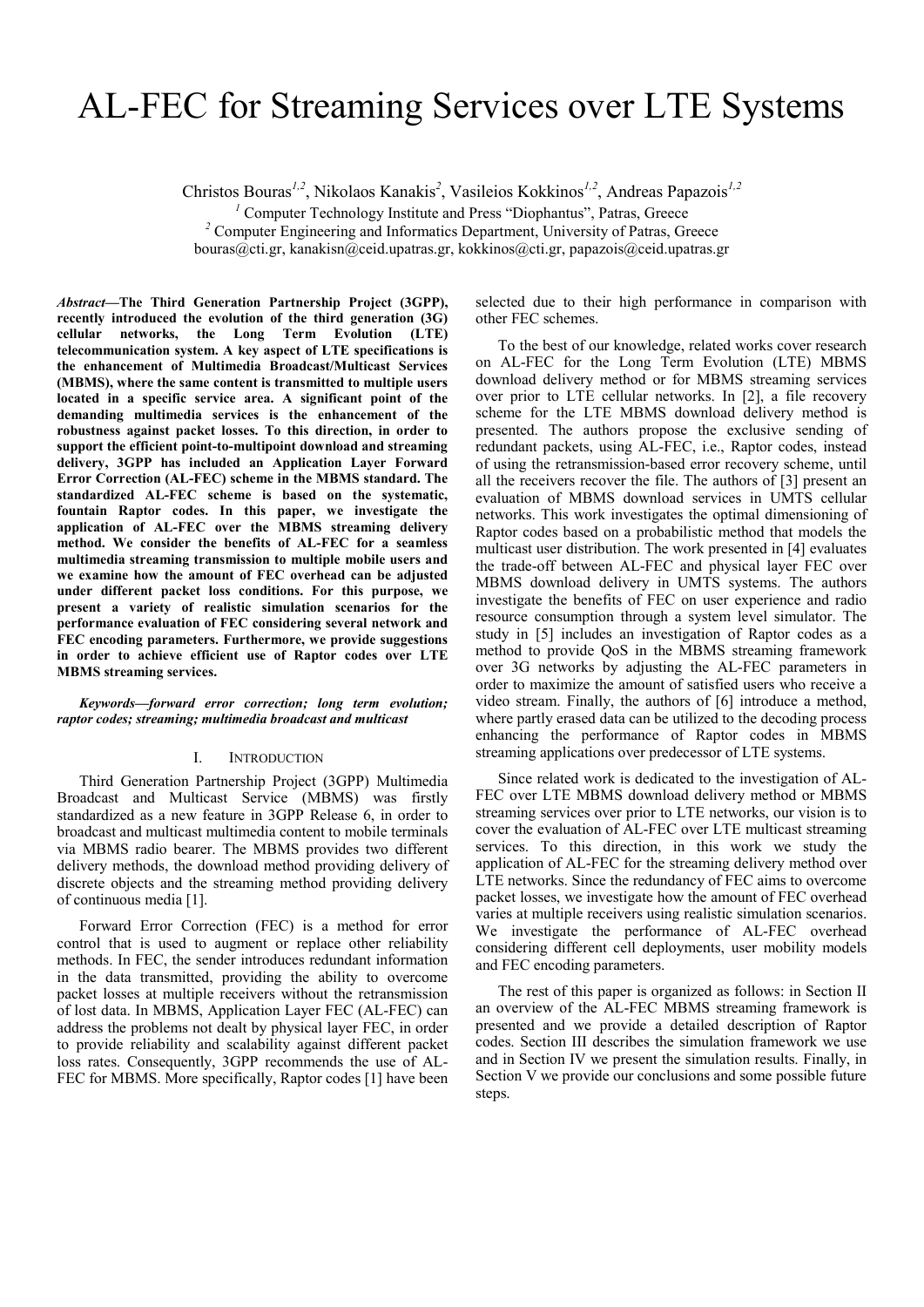# AL-FEC for Streaming Services over LTE Systems

Christos Bouras*1,2*, Nikolaos Kanakis*<sup>2</sup>* , Vasileios Kokkinos*1,2*, Andreas Papazois*1,2* 

<sup>1</sup> Computer Technology Institute and Press "Diophantus", Patras, Greece <sup>2</sup> Computer Engineering and Information Department, University of Patres, Gr

<sup>2</sup> Computer Engineering and Informatics Department, University of Patras, Greece bouras@cti.gr, kanakisn@ceid.upatras.gr, kokkinos@cti.gr, papazois@ceid.upatras.gr

*Abstract***—The Third Generation Partnership Project (3GPP), recently introduced the evolution of the third generation (3G) cellular networks, the Long Term Evolution (LTE) telecommunication system. A key aspect of LTE specifications is the enhancement of Multimedia Broadcast/Multicast Services (MBMS), where the same content is transmitted to multiple users located in a specific service area. A significant point of the demanding multimedia services is the enhancement of the robustness against packet losses. To this direction, in order to support the efficient point-to-multipoint download and streaming delivery, 3GPP has included an Application Layer Forward Error Correction (AL-FEC) scheme in the MBMS standard. The standardized AL-FEC scheme is based on the systematic, fountain Raptor codes. In this paper, we investigate the application of AL-FEC over the MBMS streaming delivery method. We consider the benefits of AL-FEC for a seamless multimedia streaming transmission to multiple mobile users and we examine how the amount of FEC overhead can be adjusted under different packet loss conditions. For this purpose, we present a variety of realistic simulation scenarios for the performance evaluation of FEC considering several network and FEC encoding parameters. Furthermore, we provide suggestions in order to achieve efficient use of Raptor codes over LTE MBMS streaming services.** 

*Keywords—forward error correction; long term evolution; raptor codes; streaming; multimedia broadcast and multicast* 

### I. INTRODUCTION

Third Generation Partnership Project (3GPP) Multimedia Broadcast and Multicast Service (MBMS) was firstly standardized as a new feature in 3GPP Release 6, in order to broadcast and multicast multimedia content to mobile terminals via MBMS radio bearer. The MBMS provides two different delivery methods, the download method providing delivery of discrete objects and the streaming method providing delivery of continuous media [1].

Forward Error Correction (FEC) is a method for error control that is used to augment or replace other reliability methods. In FEC, the sender introduces redundant information in the data transmitted, providing the ability to overcome packet losses at multiple receivers without the retransmission of lost data. In MBMS, Application Layer FEC (AL-FEC) can address the problems not dealt by physical layer FEC, in order to provide reliability and scalability against different packet loss rates. Consequently, 3GPP recommends the use of AL-FEC for MBMS. More specifically, Raptor codes [1] have been

selected due to their high performance in comparison with other FEC schemes.

To the best of our knowledge, related works cover research on AL-FEC for the Long Term Evolution (LTE) MBMS download delivery method or for MBMS streaming services over prior to LTE cellular networks. In [2], a file recovery scheme for the LTE MBMS download delivery method is presented. The authors propose the exclusive sending of redundant packets, using AL-FEC, i.e., Raptor codes, instead of using the retransmission-based error recovery scheme, until all the receivers recover the file. The authors of [3] present an evaluation of MBMS download services in UMTS cellular networks. This work investigates the optimal dimensioning of Raptor codes based on a probabilistic method that models the multicast user distribution. The work presented in [4] evaluates the trade-off between AL-FEC and physical layer FEC over MBMS download delivery in UMTS systems. The authors investigate the benefits of FEC on user experience and radio resource consumption through a system level simulator. The study in [5] includes an investigation of Raptor codes as a method to provide QoS in the MBMS streaming framework over 3G networks by adjusting the AL-FEC parameters in order to maximize the amount of satisfied users who receive a video stream. Finally, the authors of [6] introduce a method, where partly erased data can be utilized to the decoding process enhancing the performance of Raptor codes in MBMS streaming applications over predecessor of LTE systems.

Since related work is dedicated to the investigation of AL-FEC over LTE MBMS download delivery method or MBMS streaming services over prior to LTE networks, our vision is to cover the evaluation of AL-FEC over LTE multicast streaming services. To this direction, in this work we study the application of AL-FEC for the streaming delivery method over LTE networks. Since the redundancy of FEC aims to overcome packet losses, we investigate how the amount of FEC overhead varies at multiple receivers using realistic simulation scenarios. We investigate the performance of AL-FEC overhead considering different cell deployments, user mobility models and FEC encoding parameters.

The rest of this paper is organized as follows: in Section II an overview of the AL-FEC MBMS streaming framework is presented and we provide a detailed description of Raptor codes. Section III describes the simulation framework we use and in Section IV we present the simulation results. Finally, in Section V we provide our conclusions and some possible future steps.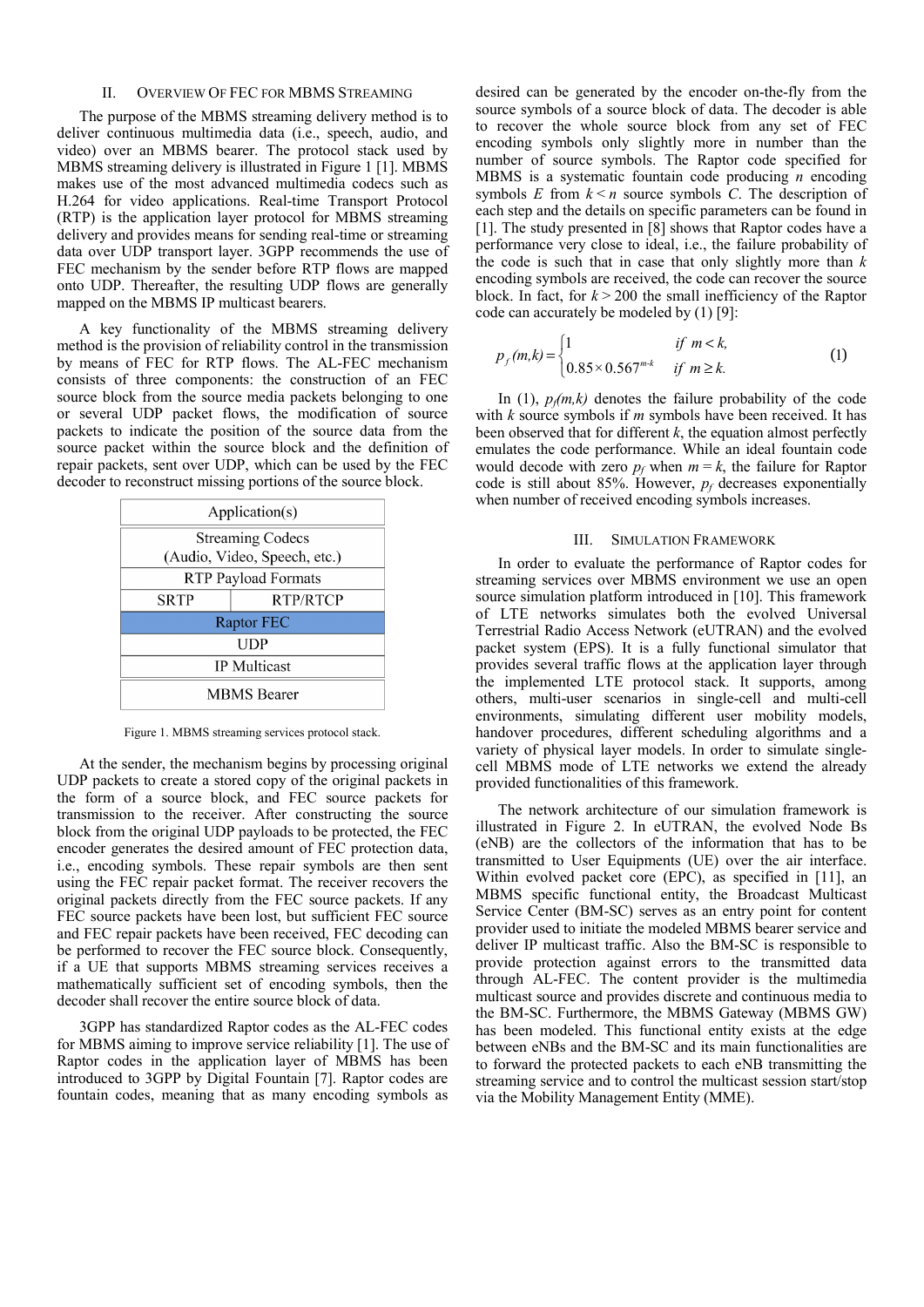## II. OVERVIEW OF FEC FOR MBMS STREAMING

The purpose of the MBMS streaming delivery method is to deliver continuous multimedia data (i.e., speech, audio, and video) over an MBMS bearer. The protocol stack used by MBMS streaming delivery is illustrated in Figure 1 [1]. MBMS makes use of the most advanced multimedia codecs such as H.264 for video applications. Real-time Transport Protocol (RTP) is the application layer protocol for MBMS streaming delivery and provides means for sending real-time or streaming data over UDP transport layer. 3GPP recommends the use of FEC mechanism by the sender before RTP flows are mapped onto UDP. Thereafter, the resulting UDP flows are generally mapped on the MBMS IP multicast bearers.

A key functionality of the MBMS streaming delivery method is the provision of reliability control in the transmission by means of FEC for RTP flows. The AL-FEC mechanism consists of three components: the construction of an FEC source block from the source media packets belonging to one or several UDP packet flows, the modification of source packets to indicate the position of the source data from the source packet within the source block and the definition of repair packets, sent over UDP, which can be used by the FEC decoder to reconstruct missing portions of the source block.



Figure 1. MBMS streaming services protocol stack.

At the sender, the mechanism begins by processing original UDP packets to create a stored copy of the original packets in the form of a source block, and FEC source packets for transmission to the receiver. After constructing the source block from the original UDP payloads to be protected, the FEC encoder generates the desired amount of FEC protection data, i.e., encoding symbols. These repair symbols are then sent using the FEC repair packet format. The receiver recovers the original packets directly from the FEC source packets. If any FEC source packets have been lost, but sufficient FEC source and FEC repair packets have been received, FEC decoding can be performed to recover the FEC source block. Consequently, if a UE that supports MBMS streaming services receives a mathematically sufficient set of encoding symbols, then the decoder shall recover the entire source block of data.

3GPP has standardized Raptor codes as the AL-FEC codes for MBMS aiming to improve service reliability [1]. The use of Raptor codes in the application layer of MBMS has been introduced to 3GPP by Digital Fountain [7]. Raptor codes are fountain codes, meaning that as many encoding symbols as desired can be generated by the encoder on-the-fly from the source symbols of a source block of data. The decoder is able to recover the whole source block from any set of FEC encoding symbols only slightly more in number than the number of source symbols. The Raptor code specified for MBMS is a systematic fountain code producing *n* encoding symbols  $E$  from  $k < n$  source symbols  $C$ . The description of each step and the details on specific parameters can be found in [1]. The study presented in [8] shows that Raptor codes have a performance very close to ideal, i.e., the failure probability of the code is such that in case that only slightly more than *k* encoding symbols are received, the code can recover the source block. In fact, for  $k > 200$  the small inefficiency of the Raptor code can accurately be modeled by (1) [9]:

$$
p_f(m,k) = \begin{cases} 1 & \text{if } m < k, \\ 0.85 \times 0.567^{m \cdot k} & \text{if } m \ge k. \end{cases}
$$
 (1)

In  $(1)$ ,  $p_f(m,k)$  denotes the failure probability of the code with *k* source symbols if *m* symbols have been received. It has been observed that for different  $k$ , the equation almost perfectly emulates the code performance. While an ideal fountain code would decode with zero  $p_f$  when  $m = k$ , the failure for Raptor code is still about 85%. However, *pf* decreases exponentially when number of received encoding symbols increases.

#### III. SIMULATION FRAMEWORK

In order to evaluate the performance of Raptor codes for streaming services over MBMS environment we use an open source simulation platform introduced in [10]. This framework of LTE networks simulates both the evolved Universal Terrestrial Radio Access Network (eUTRAN) and the evolved packet system (EPS). It is a fully functional simulator that provides several traffic flows at the application layer through the implemented LTE protocol stack. It supports, among others, multi-user scenarios in single-cell and multi-cell environments, simulating different user mobility models, handover procedures, different scheduling algorithms and a variety of physical layer models. In order to simulate singlecell MBMS mode of LTE networks we extend the already provided functionalities of this framework.

The network architecture of our simulation framework is illustrated in Figure 2. In eUTRAN, the evolved Node Bs (eNB) are the collectors of the information that has to be transmitted to User Equipments (UE) over the air interface. Within evolved packet core (EPC), as specified in [11], an MBMS specific functional entity, the Broadcast Multicast Service Center (BM-SC) serves as an entry point for content provider used to initiate the modeled MBMS bearer service and deliver IP multicast traffic. Also the BM-SC is responsible to provide protection against errors to the transmitted data through AL-FEC. The content provider is the multimedia multicast source and provides discrete and continuous media to the BM-SC. Furthermore, the MBMS Gateway (MBMS GW) has been modeled. This functional entity exists at the edge between eNBs and the BM-SC and its main functionalities are to forward the protected packets to each eNB transmitting the streaming service and to control the multicast session start/stop via the Mobility Management Entity (MME).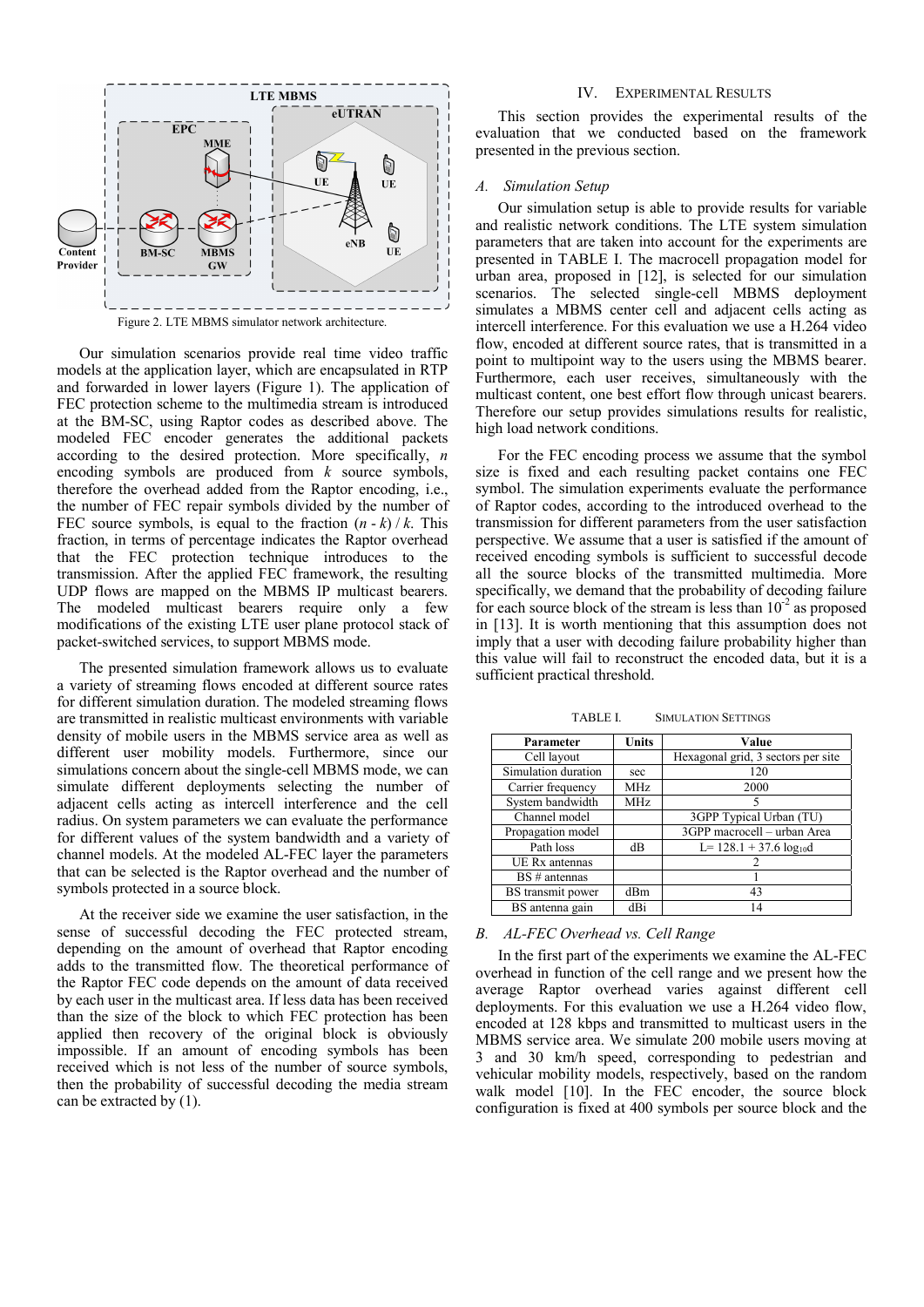

Our simulation scenarios provide real time video traffic models at the application layer, which are encapsulated in RTP and forwarded in lower layers (Figure 1). The application of FEC protection scheme to the multimedia stream is introduced at the BM-SC, using Raptor codes as described above. The modeled FEC encoder generates the additional packets according to the desired protection. More specifically, *n* encoding symbols are produced from *k* source symbols, therefore the overhead added from the Raptor encoding, i.e., the number of FEC repair symbols divided by the number of FEC source symbols, is equal to the fraction  $(n - k) / k$ . This fraction, in terms of percentage indicates the Raptor overhead that the FEC protection technique introduces to the transmission. After the applied FEC framework, the resulting UDP flows are mapped on the MBMS IP multicast bearers. The modeled multicast bearers require only a few modifications of the existing LTE user plane protocol stack of packet-switched services, to support MBMS mode.

The presented simulation framework allows us to evaluate a variety of streaming flows encoded at different source rates for different simulation duration. The modeled streaming flows are transmitted in realistic multicast environments with variable density of mobile users in the MBMS service area as well as different user mobility models. Furthermore, since our simulations concern about the single-cell MBMS mode, we can simulate different deployments selecting the number of adjacent cells acting as intercell interference and the cell radius. On system parameters we can evaluate the performance for different values of the system bandwidth and a variety of channel models. At the modeled AL-FEC layer the parameters that can be selected is the Raptor overhead and the number of symbols protected in a source block.

At the receiver side we examine the user satisfaction, in the sense of successful decoding the FEC protected stream, depending on the amount of overhead that Raptor encoding adds to the transmitted flow. The theoretical performance of the Raptor FEC code depends on the amount of data received by each user in the multicast area. If less data has been received than the size of the block to which FEC protection has been applied then recovery of the original block is obviously impossible. If an amount of encoding symbols has been received which is not less of the number of source symbols, then the probability of successful decoding the media stream can be extracted by (1).

# IV. EXPERIMENTAL RESULTS

This section provides the experimental results of the evaluation that we conducted based on the framework presented in the previous section.

#### *A. Simulation Setup*

Our simulation setup is able to provide results for variable and realistic network conditions. The LTE system simulation parameters that are taken into account for the experiments are presented in TABLE I. The macrocell propagation model for urban area, proposed in [12], is selected for our simulation scenarios. The selected single-cell MBMS deployment simulates a MBMS center cell and adjacent cells acting as intercell interference. For this evaluation we use a H.264 video flow, encoded at different source rates, that is transmitted in a point to multipoint way to the users using the MBMS bearer. Furthermore, each user receives, simultaneously with the multicast content, one best effort flow through unicast bearers. Therefore our setup provides simulations results for realistic, high load network conditions.

For the FEC encoding process we assume that the symbol size is fixed and each resulting packet contains one FEC symbol. The simulation experiments evaluate the performance of Raptor codes, according to the introduced overhead to the transmission for different parameters from the user satisfaction perspective. We assume that a user is satisfied if the amount of received encoding symbols is sufficient to successful decode all the source blocks of the transmitted multimedia. More specifically, we demand that the probability of decoding failure for each source block of the stream is less than  $10^{-2}$  as proposed in [13]. It is worth mentioning that this assumption does not imply that a user with decoding failure probability higher than this value will fail to reconstruct the encoded data, but it is a sufficient practical threshold.

TABLE I. SIMULATION SETTINGS

| Parameter           | <b>Units</b> | Value                              |
|---------------------|--------------|------------------------------------|
| Cell layout         |              | Hexagonal grid, 3 sectors per site |
| Simulation duration | sec          | 120                                |
| Carrier frequency   | MHz          | 2000                               |
| System bandwidth    | <b>MHz</b>   |                                    |
| Channel model       |              | 3GPP Typical Urban (TU)            |
| Propagation model   |              | 3GPP macrocell - urban Area        |
| Path loss           | dВ           | L= $128.1 + 37.6 \log_{10} d$      |
| UE Rx antennas      |              |                                    |
| $BS \# antennas$    |              |                                    |
| BS transmit power   | dBm          | 43                                 |
| BS antenna gain     | dBi          |                                    |

### *B. AL-FEC Overhead vs. Cell Range*

In the first part of the experiments we examine the AL-FEC overhead in function of the cell range and we present how the average Raptor overhead varies against different cell deployments. For this evaluation we use a H.264 video flow, encoded at 128 kbps and transmitted to multicast users in the MBMS service area. We simulate 200 mobile users moving at 3 and 30 km/h speed, corresponding to pedestrian and vehicular mobility models, respectively, based on the random walk model [10]. In the FEC encoder, the source block configuration is fixed at 400 symbols per source block and the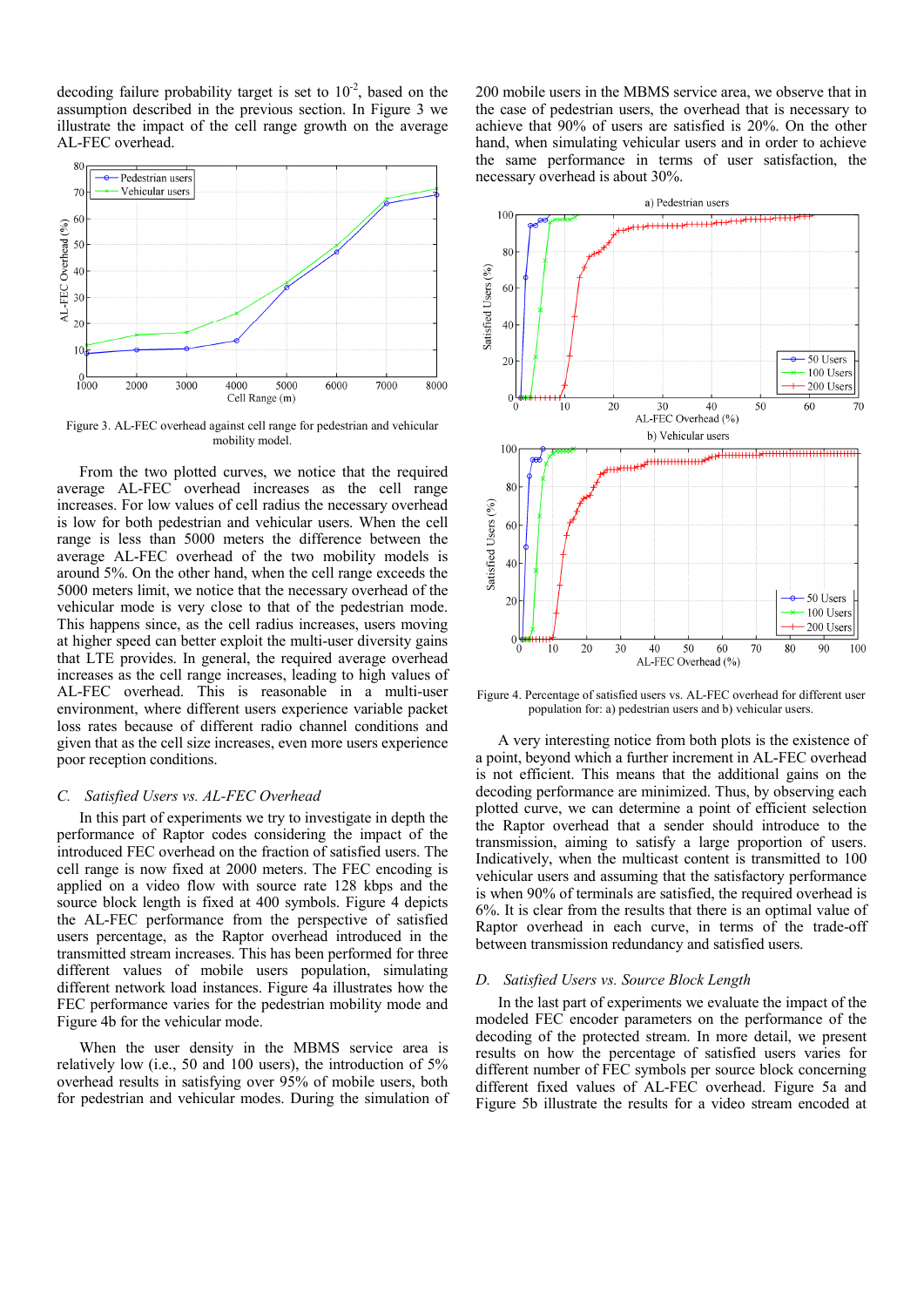decoding failure probability target is set to  $10^{-2}$ , based on the assumption described in the previous section. In Figure 3 we illustrate the impact of the cell range growth on the average AL-FEC overhead.



Figure 3. AL-FEC overhead against cell range for pedestrian and vehicular mobility model.

From the two plotted curves, we notice that the required average AL-FEC overhead increases as the cell range increases. For low values of cell radius the necessary overhead is low for both pedestrian and vehicular users. When the cell range is less than 5000 meters the difference between the average AL-FEC overhead of the two mobility models is around 5%. On the other hand, when the cell range exceeds the 5000 meters limit, we notice that the necessary overhead of the vehicular mode is very close to that of the pedestrian mode. This happens since, as the cell radius increases, users moving at higher speed can better exploit the multi-user diversity gains that LTE provides. In general, the required average overhead increases as the cell range increases, leading to high values of AL-FEC overhead. This is reasonable in a multi-user environment, where different users experience variable packet loss rates because of different radio channel conditions and given that as the cell size increases, even more users experience poor reception conditions.

### *C. Satisfied Users vs. AL-FEC Overhead*

In this part of experiments we try to investigate in depth the performance of Raptor codes considering the impact of the introduced FEC overhead on the fraction of satisfied users. The cell range is now fixed at 2000 meters. The FEC encoding is applied on a video flow with source rate 128 kbps and the source block length is fixed at 400 symbols. Figure 4 depicts the AL-FEC performance from the perspective of satisfied users percentage, as the Raptor overhead introduced in the transmitted stream increases. This has been performed for three different values of mobile users population, simulating different network load instances. Figure 4a illustrates how the FEC performance varies for the pedestrian mobility mode and Figure 4b for the vehicular mode.

When the user density in the MBMS service area is relatively low (i.e., 50 and 100 users), the introduction of 5% overhead results in satisfying over 95% of mobile users, both for pedestrian and vehicular modes. During the simulation of

200 mobile users in the MBMS service area, we observe that in the case of pedestrian users, the overhead that is necessary to achieve that 90% of users are satisfied is 20%. On the other hand, when simulating vehicular users and in order to achieve the same performance in terms of user satisfaction, the necessary overhead is about 30%.



Figure 4. Percentage of satisfied users vs. AL-FEC overhead for different user population for: a) pedestrian users and b) vehicular users.

A very interesting notice from both plots is the existence of a point, beyond which a further increment in AL-FEC overhead is not efficient. This means that the additional gains on the decoding performance are minimized. Thus, by observing each plotted curve, we can determine a point of efficient selection the Raptor overhead that a sender should introduce to the transmission, aiming to satisfy a large proportion of users. Indicatively, when the multicast content is transmitted to 100 vehicular users and assuming that the satisfactory performance is when 90% of terminals are satisfied, the required overhead is 6%. It is clear from the results that there is an optimal value of Raptor overhead in each curve, in terms of the trade-off between transmission redundancy and satisfied users.

#### *D. Satisfied Users vs. Source Block Length*

In the last part of experiments we evaluate the impact of the modeled FEC encoder parameters on the performance of the decoding of the protected stream. In more detail, we present results on how the percentage of satisfied users varies for different number of FEC symbols per source block concerning different fixed values of AL-FEC overhead. Figure 5a and Figure 5b illustrate the results for a video stream encoded at